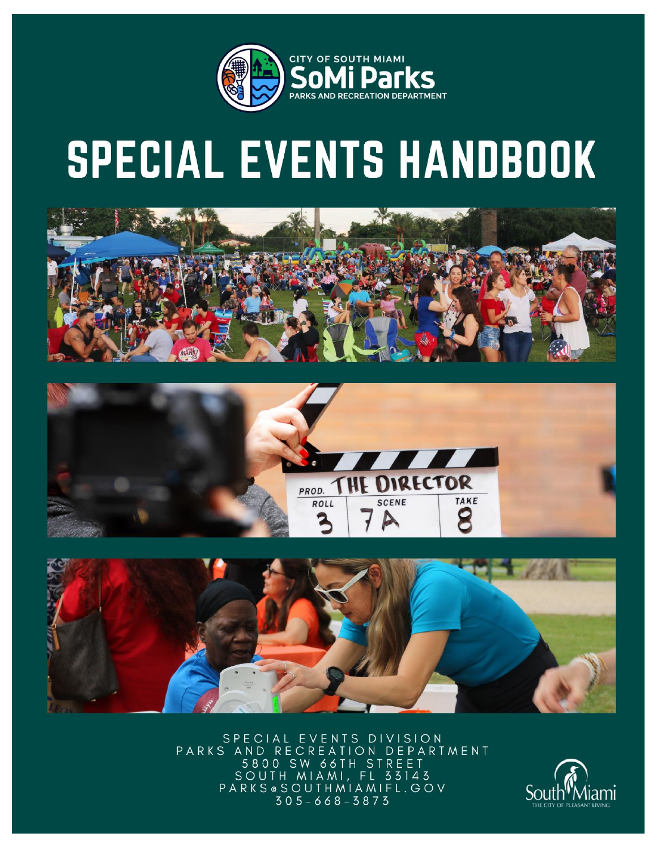

# SPECIAL EVENTS HANDBOOK







SPECIAL EVENTS DIVISION ION DEPARTMENT PARKS AND RECR Ε 5800 SW 66TH STREET SOUTH MIAMI, FL 33143<br>PARKS@SOUTHMIAMIFL.GOV  $305 - 668 - 3873$ 

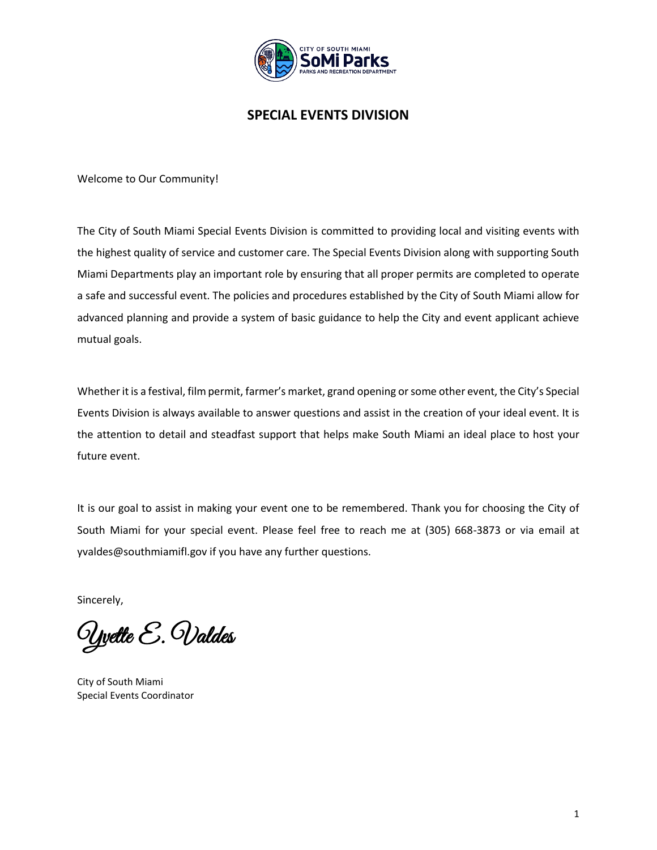

### **SPECIAL EVENTS DIVISION**

Welcome to Our Community!

The City of South Miami Special Events Division is committed to providing local and visiting events with the highest quality of service and customer care. The Special Events Division along with supporting South Miami Departments play an important role by ensuring that all proper permits are completed to operate a safe and successful event. The policies and procedures established by the City of South Miami allow for advanced planning and provide a system of basic guidance to help the City and event applicant achieve mutual goals.

Whether it is a festival, film permit, farmer's market, grand opening or some other event, the City's Special Events Division is always available to answer questions and assist in the creation of your ideal event. It is the attention to detail and steadfast support that helps make South Miami an ideal place to host your future event.

It is our goal to assist in making your event one to be remembered. Thank you for choosing the City of South Miami for your special event. Please feel free to reach me at (305) 668-3873 or via email at yvaldes@southmiamifl.gov if you have any further questions.

Sincerely,

Yvette E. Valdes

City of South Miami Special Events Coordinator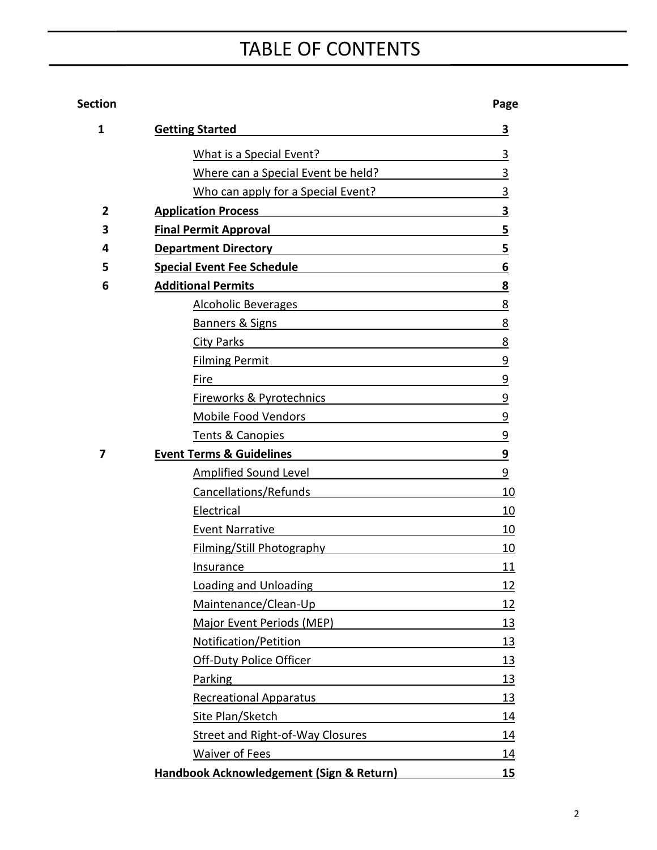## TABLE OF CONTENTS

### **Section Page**

| 1 | <b>Getting Started</b>                                                                                                                                                                                                         | 3         |
|---|--------------------------------------------------------------------------------------------------------------------------------------------------------------------------------------------------------------------------------|-----------|
|   | What is a Special Event?                                                                                                                                                                                                       | 3         |
|   | Where can a Special Event be held?                                                                                                                                                                                             | 3         |
|   | Who can apply for a Special Event?                                                                                                                                                                                             | 3         |
| 2 | <b>Application Process</b>                                                                                                                                                                                                     | 3         |
| 3 | <b>Final Permit Approval Example 2018</b>                                                                                                                                                                                      | 5         |
| 4 | Department Directory <b>Example 2018</b>                                                                                                                                                                                       | 5         |
| 5 | Special Event Fee Schedule and the state of the state of the state of the state of the state of the state of the                                                                                                               | 6         |
| 6 | <b>Additional Permits</b>                                                                                                                                                                                                      | 8         |
|   | Alcoholic Beverages and the contract of the contract of the contract of the contract of the contract of the contract of the contract of the contract of the contract of the contract of the contract of the contract of the co | 8         |
|   | Banners & Signs <b>Banners</b> & Signs                                                                                                                                                                                         | 8         |
|   | <b>City Parks</b><br><u> 1980 - Johann Barbara, martxa alemaniar arg</u>                                                                                                                                                       | 8         |
|   | Filming Permit and the contract of the contract of the contract of the contract of the contract of the contract of the contract of the contract of the contract of the contract of the contract of the contract of the contrac | 9         |
|   | Fire                                                                                                                                                                                                                           | 9         |
|   | Fireworks & Pyrotechnics <u>[1988]</u>                                                                                                                                                                                         | 9         |
|   | Mobile Food Vendors <b>Communication</b> Mobile Food Vendors                                                                                                                                                                   | 9         |
|   | Tents & Canopies                                                                                                                                                                                                               | 9         |
| 7 | <b>Event Terms &amp; Guidelines Event Terms &amp; Guidelines</b>                                                                                                                                                               | 9         |
|   | Amplified Sound Level <b>Amplified</b> Sound Level                                                                                                                                                                             | 9         |
|   | Cancellations/Refunds                                                                                                                                                                                                          | 10        |
|   | Electrical<br><u> 1989 - Andrea Andrew Maria (h. 1989).</u>                                                                                                                                                                    | 10        |
|   | <b>Event Narrative</b>                                                                                                                                                                                                         | 10        |
|   | <b>Filming/Still Photography</b>                                                                                                                                                                                               | 10        |
|   | Insurance                                                                                                                                                                                                                      | 11        |
|   | Loading and Unloading Loading                                                                                                                                                                                                  | 12        |
|   | Maintenance/Clean-Up                                                                                                                                                                                                           | <u>12</u> |
|   | Major Event Periods (MEP)                                                                                                                                                                                                      | 13        |
|   | Notification/Petition                                                                                                                                                                                                          | <u>13</u> |
|   | Off-Duty Police Officer                                                                                                                                                                                                        | <u>13</u> |
|   | Parking                                                                                                                                                                                                                        | 13        |
|   | <b>Recreational Apparatus</b>                                                                                                                                                                                                  | 13        |
|   | Site Plan/Sketch                                                                                                                                                                                                               | 14        |
|   | <b>Street and Right-of-Way Closures</b>                                                                                                                                                                                        | 14        |
|   | <b>Waiver of Fees</b>                                                                                                                                                                                                          | 14        |
|   | Handbook Acknowledgement (Sign & Return)                                                                                                                                                                                       | 15        |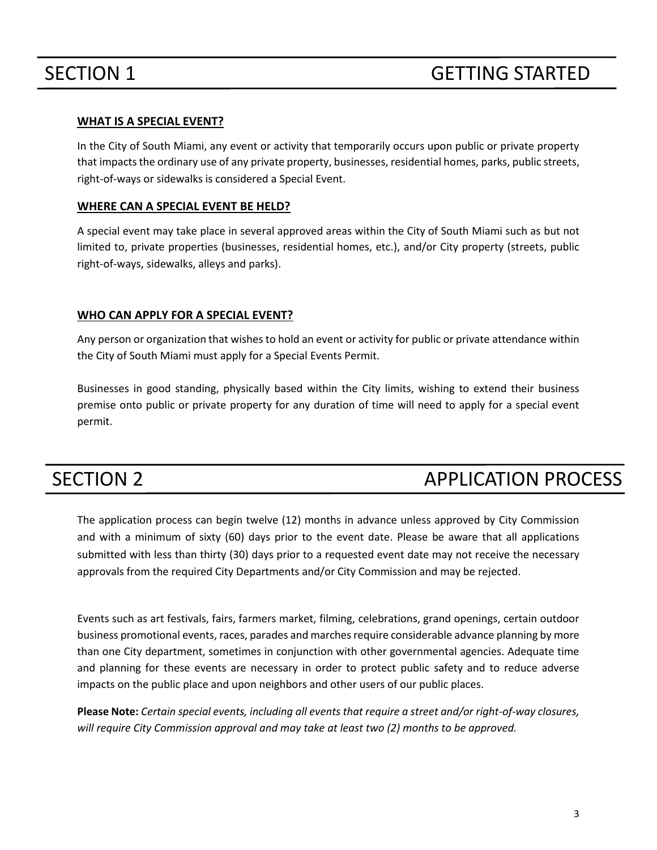#### **WHAT IS A SPECIAL EVENT?**

In the City of South Miami, any event or activity that temporarily occurs upon public or private property that impactsthe ordinary use of any private property, businesses, residential homes, parks, public streets, right-of-ways or sidewalks is considered a Special Event.

#### **WHERE CAN A SPECIAL EVENT BE HELD?**

A special event may take place in several approved areas within the City of South Miami such as but not limited to, private properties (businesses, residential homes, etc.), and/or City property (streets, public right-of-ways, sidewalks, alleys and parks).

### **WHO CAN APPLY FOR A SPECIAL EVENT?**

Any person or organization that wishes to hold an event or activity for public or private attendance within the City of South Miami must apply for a Special Events Permit.

Businesses in good standing, physically based within the City limits, wishing to extend their business premise onto public or private property for any duration of time will need to apply for a special event permit.

## SECTION 2 APPLICATION PROCESS

The application process can begin twelve (12) months in advance unless approved by City Commission and with a minimum of sixty (60) days prior to the event date. Please be aware that all applications submitted with less than thirty (30) days prior to a requested event date may not receive the necessary approvals from the required City Departments and/or City Commission and may be rejected.

Events such as art festivals, fairs, farmers market, filming, celebrations, grand openings, certain outdoor business promotional events, races, parades and marches require considerable advance planning by more than one City department, sometimes in conjunction with other governmental agencies. Adequate time and planning for these events are necessary in order to protect public safety and to reduce adverse impacts on the public place and upon neighbors and other users of our public places.

**Please Note:** *Certain special events, including all events that require a street and/or right-of-way closures, will require City Commission approval and may take at least two (2) months to be approved.*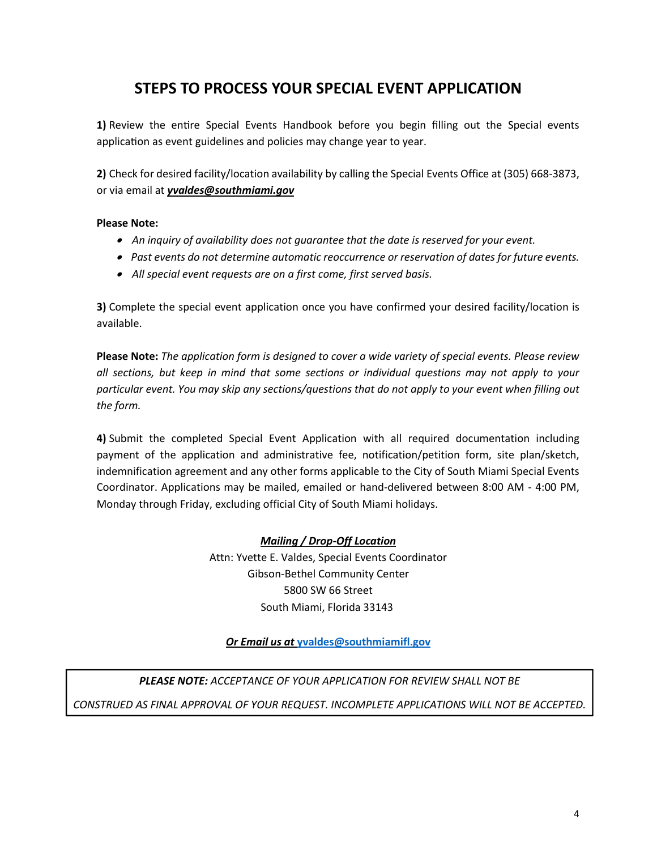## **STEPS TO PROCESS YOUR SPECIAL EVENT APPLICATION**

**1)** Review the entire Special Events Handbook before you begin filling out the Special events application as event guidelines and policies may change year to year.

**2)** Check for desired facility/location availability by calling the Special Events Office at (305) 668-3873, or via email at *yvaldes@southmiami.gov*

#### **Please Note:**

- • *An inquiry of availability does not guarantee that the date is reserved for your event.*
- • *Past events do not determine automatic reoccurrence or reservation of dates for future events.*
- • *All special event requests are on a first come, first served basis.*

**3)** Complete the special event application once you have confirmed your desired facility/location is available.

**Please Note:** *The application form is designed to cover a wide variety of special events. Please review all sections, but keep in mind that some sections or individual questions may not apply to your particular event. You may skip any sections/questions that do not apply to your event when filling out the form.*

**4)** Submit the completed Special Event Application with all required documentation including payment of the application and administrative fee, notification/petition form, site plan/sketch, indemnification agreement and any other forms applicable to the City of South Miami Special Events Coordinator. Applications may be mailed, emailed or hand-delivered between 8:00 AM - 4:00 PM, Monday through Friday, excluding official City of South Miami holidays.

#### *Mailing / Drop-Off Location*

Attn: Yvette E. Valdes, Special Events Coordinator Gibson-Bethel Community Center 5800 SW 66 Street South Miami, Florida 33143

### *Or Email us at* **[yvaldes@southmiamifl.gov](mailto:yvaldes@southmiamifl.gov)**

*PLEASE NOTE: ACCEPTANCE OF YOUR APPLICATION FOR REVIEW SHALL NOT BE CONSTRUED AS FINAL APPROVAL OF YOUR REQUEST. INCOMPLETE APPLICATIONS WILL NOT BE ACCEPTED.*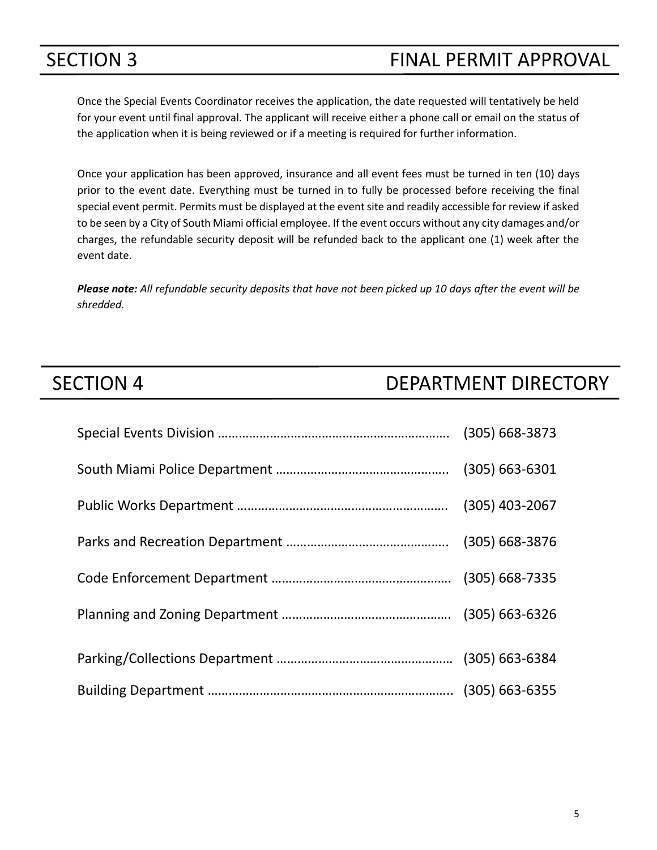## SECTION 3 FINAL PERMIT APPROVAL

Once the Special Events Coordinator receives the application, the date requested will tentatively be held for your event until final approval. The applicant will receive either a phone call or email on the status of the application when it is being reviewed or if a meeting is required for further information.

Once your application has been approved, insurance and all event fees must be turned in ten (10) days prior to the event date. Everything must be turned in to fully be processed before receiving the final special event permit. Permits must be displayed at the event site and readily accessible for review if asked to be seen by a City of South Miami official employee. If the event occurs without any city damages and/or charges, the refundable security deposit will be refunded back to the applicant one (1) week after the event date.

*Please note: All refundable security deposits that have not been picked up 10 days after the event will be shredded.*

## SECTION 4 DEPARTMENT DIRECTORY

| $(305) 668 - 3873$ |
|--------------------|
| $(305) 663 - 6301$ |
| $(305)$ 403-2067   |
| $(305) 668 - 3876$ |
|                    |
|                    |
|                    |
|                    |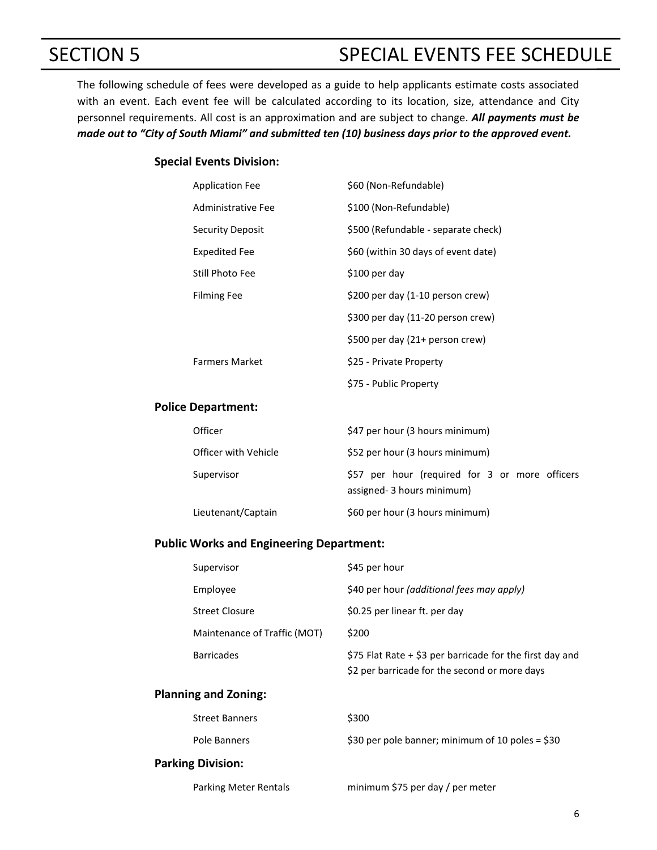## SECTION 5 SPECIAL EVENTS FEE SCHEDULE

The following schedule of fees were developed as a guide to help applicants estimate costs associated with an event. Each event fee will be calculated according to its location, size, attendance and City personnel requirements. All cost is an approximation and are subject to change. *All payments must be made out to "City of South Miami" and submitted ten (10) business days prior to the approved event.*

#### **Special Events Division:**

| <b>Application Fee</b> | \$60 (Non-Refundable)               |
|------------------------|-------------------------------------|
| Administrative Fee     | \$100 (Non-Refundable)              |
| Security Deposit       | \$500 (Refundable - separate check) |
| Expedited Fee          | \$60 (within 30 days of event date) |
| Still Photo Fee        | \$100 per day                       |
| <b>Filming Fee</b>     | \$200 per day (1-10 person crew)    |
|                        | \$300 per day (11-20 person crew)   |
|                        | \$500 per day (21+ person crew)     |
| <b>Farmers Market</b>  | \$25 - Private Property             |
|                        | \$75 - Public Property              |

#### **Police Department:**

| Officer              | \$47 per hour (3 hours minimum)                                             |  |  |  |
|----------------------|-----------------------------------------------------------------------------|--|--|--|
| Officer with Vehicle | \$52 per hour (3 hours minimum)                                             |  |  |  |
| Supervisor           | \$57 per hour (required for 3 or more officers<br>assigned-3 hours minimum) |  |  |  |
| Lieutenant/Captain   | \$60 per hour (3 hours minimum)                                             |  |  |  |

#### **Public Works and Engineering Department:**

| Supervisor                   | \$45 per hour                                                                                               |
|------------------------------|-------------------------------------------------------------------------------------------------------------|
| Employee                     | \$40 per hour (additional fees may apply)                                                                   |
| <b>Street Closure</b>        | \$0.25 per linear ft. per day                                                                               |
| Maintenance of Traffic (MOT) | \$200                                                                                                       |
| <b>Barricades</b>            | \$75 Flat Rate $+$ \$3 per barricade for the first day and<br>\$2 per barricade for the second or more days |

#### **Planning and Zoning:**

| <b>Street Banners</b>    | \$300                                            |
|--------------------------|--------------------------------------------------|
| Pole Banners             | \$30 per pole banner; minimum of 10 poles = \$30 |
| <b>Parking Division:</b> |                                                  |

Parking Meter Rentals minimum \$75 per day / per meter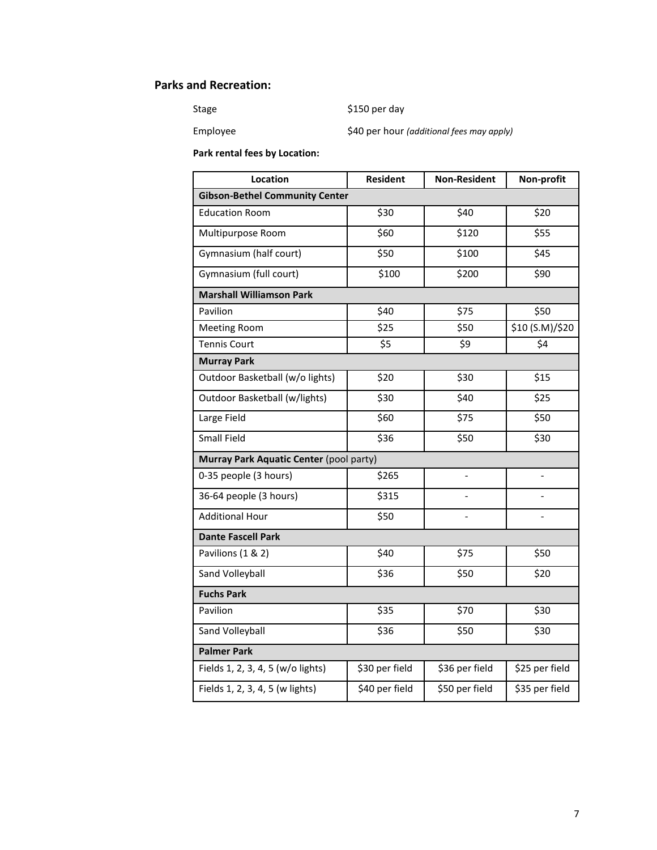### **Parks and Recreation:**

Stage \$150 per day

Employee \$40 per hour *(additional fees may apply)*

**Park rental fees by Location:**

| Location                                | <b>Resident</b> | <b>Non-Resident</b>      | Non-profit                 |  |
|-----------------------------------------|-----------------|--------------------------|----------------------------|--|
| <b>Gibson-Bethel Community Center</b>   |                 |                          |                            |  |
| <b>Education Room</b>                   | \$30            | \$40                     | \$20                       |  |
| Multipurpose Room                       | \$60            | \$120                    | \$55                       |  |
| Gymnasium (half court)                  | \$50            | \$100                    | \$45                       |  |
| Gymnasium (full court)                  | \$100           | \$200                    | \$90                       |  |
| <b>Marshall Williamson Park</b>         |                 |                          |                            |  |
| Pavilion                                | \$40            | \$75                     | \$50                       |  |
| <b>Meeting Room</b>                     | \$25            | \$50                     | $\frac{1}{210}$ (S.M)/\$20 |  |
| <b>Tennis Court</b>                     | \$5             | \$9                      | \$4                        |  |
| <b>Murray Park</b>                      |                 |                          |                            |  |
| Outdoor Basketball (w/o lights)         | \$20            | \$30                     | \$15                       |  |
| Outdoor Basketball (w/lights)           | \$30            | \$40                     | \$25                       |  |
| Large Field                             | \$60            | \$75                     | \$50                       |  |
| Small Field                             | \$36            | \$50                     | \$30                       |  |
| Murray Park Aquatic Center (pool party) |                 |                          |                            |  |
| 0-35 people (3 hours)                   | \$265           | $\overline{a}$           |                            |  |
| 36-64 people (3 hours)                  | \$315           | $\overline{\phantom{0}}$ |                            |  |
| <b>Additional Hour</b>                  | \$50            | $\overline{a}$           | $\overline{a}$             |  |
| <b>Dante Fascell Park</b>               |                 |                          |                            |  |
| Pavilions (1 & 2)                       | \$40            | \$75                     | \$50                       |  |
| Sand Volleyball                         | \$36            | \$50                     | \$20                       |  |
| <b>Fuchs Park</b>                       |                 |                          |                            |  |
| Pavilion                                | \$35            | \$70                     | \$30                       |  |
| Sand Volleyball                         | \$36            | \$50                     | \$30                       |  |
| <b>Palmer Park</b>                      |                 |                          |                            |  |
| Fields 1, 2, 3, 4, 5 (w/o lights)       | \$30 per field  | \$36 per field           | \$25 per field             |  |
| Fields 1, 2, 3, 4, 5 (w lights)         | \$40 per field  | \$50 per field           | \$35 per field             |  |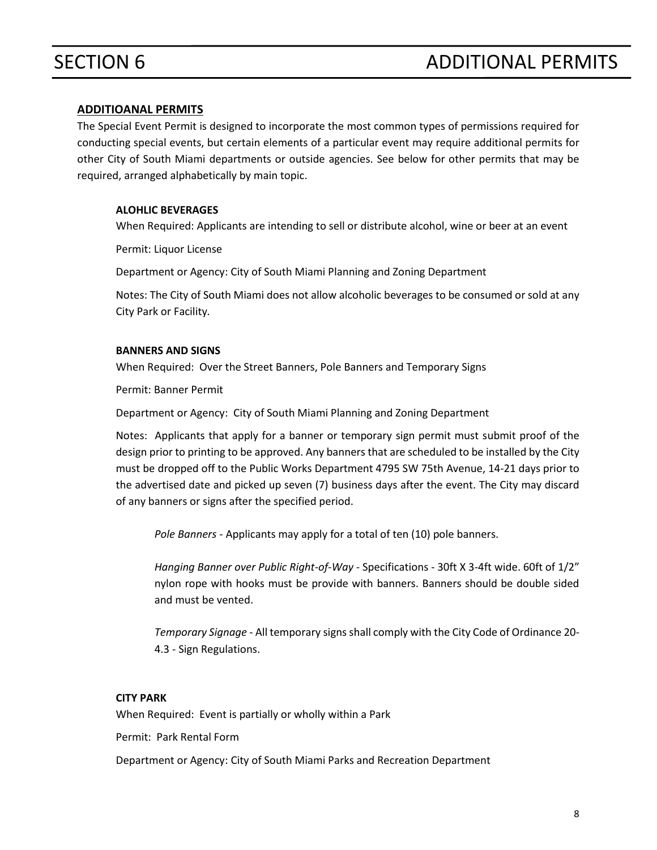#### **ADDITIOANAL PERMITS**

The Special Event Permit is designed to incorporate the most common types of permissions required for conducting special events, but certain elements of a particular event may require additional permits for other City of South Miami departments or outside agencies. See below for other permits that may be required, arranged alphabetically by main topic.

#### **ALOHLIC BEVERAGES**

When Required: Applicants are intending to sell or distribute alcohol, wine or beer at an event

Permit: Liquor License

Department or Agency: City of South Miami Planning and Zoning Department

Notes: The City of South Miami does not allow alcoholic beverages to be consumed or sold at any City Park or Facility*.*

#### **BANNERS AND SIGNS**

When Required: Over the Street Banners, Pole Banners and Temporary Signs

Permit: [Banner](https://www.seattle.gov/dpd/permits/permittypes/signawningbillboard/default.htm) Permit

Department or Agency: City of South Miami Planning and Zoning Department

Notes: Applicants that apply for a banner or temporary sign permit must submit proof of the design prior to printing to be approved. Any banners that are scheduled to be installed by the City must be dropped off to the Public Works Department 4795 SW 75th Avenue, 14-21 days prior to the advertised date and picked up seven (7) business days after the event. The City may discard of any banners or signs after the specified period.

*Pole Banners* - Applicants may apply for a total of ten (10) pole banners.

*Hanging Banner over Public Right-of-Way* - Specifications - 30ft X 3-4ft wide. 60ft of 1/2" nylon rope with hooks must be provide with banners. Banners should be double sided and must be vented.

*Temporary Signage* - All temporary signs shall comply with the City Code of Ordinance 20- 4.3 - Sign Regulations.

#### **CITY PARK**

When Required: Event is partially or wholly within a Park

Permit: Park Rental Form

Department or Agency: City of South Miami Parks and Recreation Department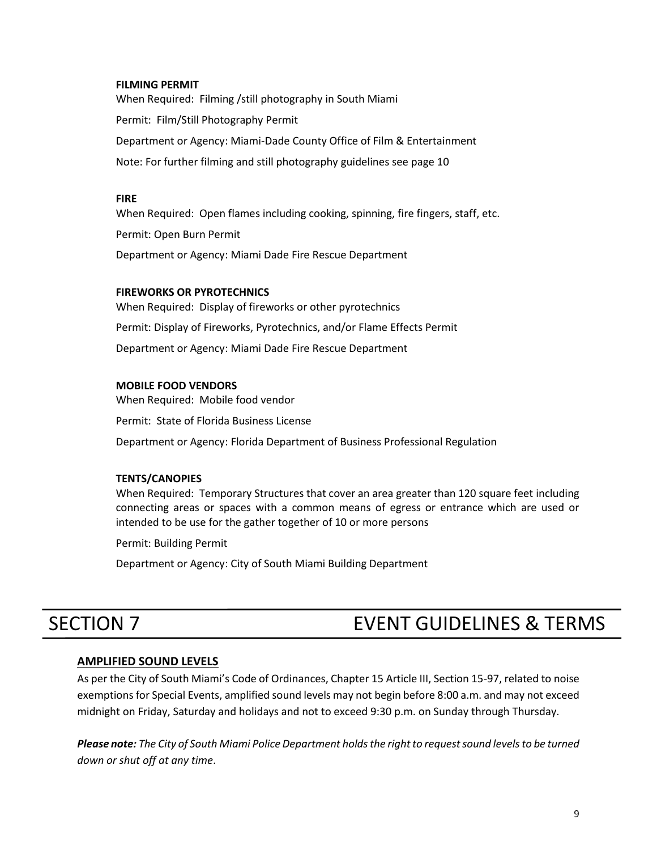#### **FILMING PERMIT**

When Required: Filming /still photography in South Miami Permit: Film/Still Photography Permit Department or Agency: Miami-Dade County Office of Film & Entertainment Note: For further filming and still photography guidelines see page 10

#### **FIRE**

When Required: Open flames including cooking, spinning, fire fingers, staff, etc. Permit: Open Burn Permit Department or Agency: Miami Dade Fire Rescue Department

#### **FIREWORKS OR PYROTECHNICS**

When Required: Display of fireworks or other pyrotechnics Permit: Display of Fireworks, Pyrotechnics, and/or Flame Effects Permit Department or Agency: Miami Dade Fire Rescue Department

#### **MOBILE FOOD VENDORS**

When Required: Mobile food vendor

Permit: State of Florida Business License

Department or Agency: Florida Department of Business Professional Regulation

#### **TENTS/CANOPIES**

When Required: Temporary Structures that cover an area greater than 120 square feet including connecting areas or spaces with a common means of egress or entrance which are used or intended to be use for the gather together of 10 or more persons

Permit: Building Permit

Department or Agency: City of South Miami Building Department

## SECTION 7 EVENT GUIDELINES & TERMS

#### **AMPLIFIED SOUND LEVELS**

As per the City of South Miami's Code of Ordinances, Chapter 15 Article III, Section 15-97, related to noise exemptions for Special Events, amplified sound levels may not begin before 8:00 a.m. and may not exceed midnight on Friday, Saturday and holidays and not to exceed 9:30 p.m. on Sunday through Thursday.

*Please note: The City of South Miami Police Department holds the right to request sound levels to be turned down or shut off at any time*.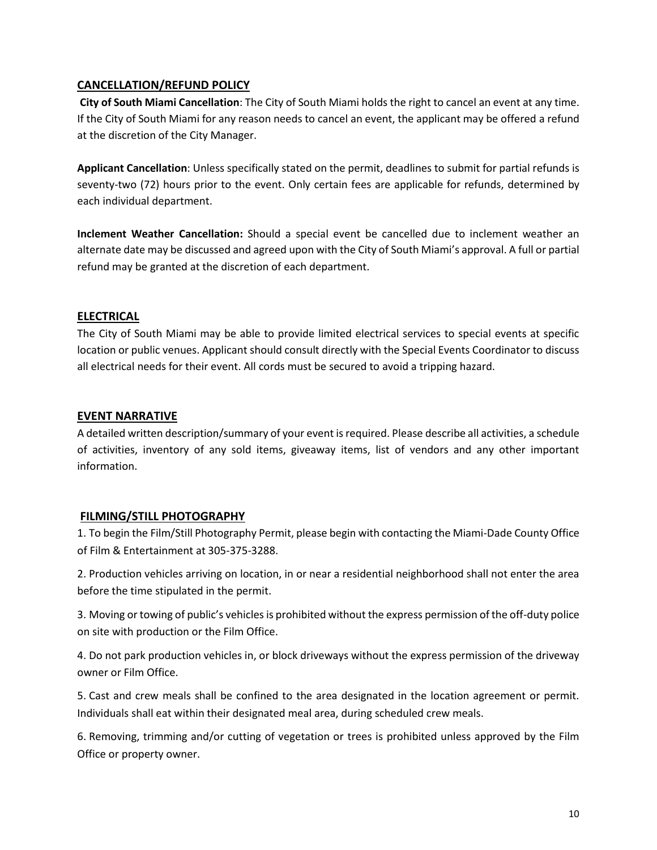#### **CANCELLATION/REFUND POLICY**

**City of South Miami Cancellation**: The City of South Miami holds the right to cancel an event at any time. If the City of South Miami for any reason needs to cancel an event, the applicant may be offered a refund at the discretion of the City Manager.

**Applicant Cancellation**: Unless specifically stated on the permit, deadlines to submit for partial refunds is seventy-two (72) hours prior to the event. Only certain fees are applicable for refunds, determined by each individual department.

**Inclement Weather Cancellation:** Should a special event be cancelled due to inclement weather an alternate date may be discussed and agreed upon with the City of South Miami's approval. A full or partial refund may be granted at the discretion of each department.

#### **ELECTRICAL**

The City of South Miami may be able to provide limited electrical services to special events at specific location or public venues. Applicant should consult directly with the Special Events Coordinator to discuss all electrical needs for their event. All cords must be secured to avoid a tripping hazard.

#### **EVENT NARRATIVE**

A detailed written description/summary of your event is required. Please describe all activities, a schedule of activities, inventory of any sold items, giveaway items, list of vendors and any other important information.

#### **FILMING/STILL PHOTOGRAPHY**

1. To begin the Film/Still Photography Permit, please begin with contacting the Miami-Dade County Office of Film & Entertainment at 305-375-3288.

2. Production vehicles arriving on location, in or near a residential neighborhood shall not enter the area before the time stipulated in the permit.

3. Moving ortowing of public's vehicles is prohibited without the express permission of the off-duty police on site with production or the Film Office.

4. Do not park production vehicles in, or block driveways without the express permission of the driveway owner or Film Office.

5. Cast and crew meals shall be confined to the area designated in the location agreement or permit. Individuals shall eat within their designated meal area, during scheduled crew meals.

6. Removing, trimming and/or cutting of vegetation or trees is prohibited unless approved by the Film Office or property owner.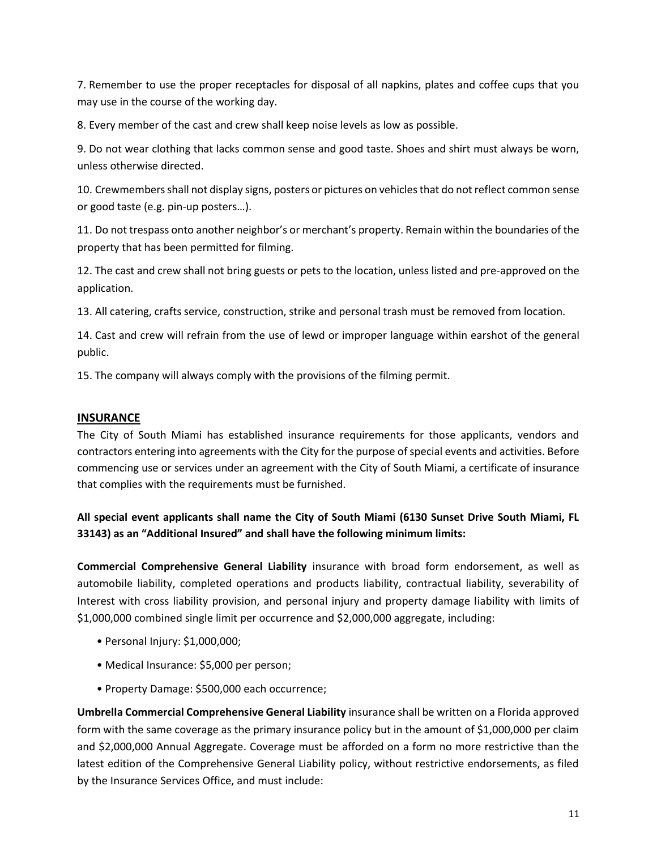7. Remember to use the proper receptacles for disposal of all napkins, plates and coffee cups that you may use in the course of the working day.

8. Every member of the cast and crew shall keep noise levels as low as possible.

9. Do not wear clothing that lacks common sense and good taste. Shoes and shirt must always be worn, unless otherwise directed.

10. Crewmembers shall not display signs, posters or pictures on vehicles that do not reflect common sense or good taste (e.g. pin-up posters…).

11. Do not trespass onto another neighbor's or merchant's property. Remain within the boundaries of the property that has been permitted for filming.

12. The cast and crew shall not bring guests or pets to the location, unless listed and pre-approved on the application.

13. All catering, crafts service, construction, strike and personal trash must be removed from location.

14. Cast and crew will refrain from the use of lewd or improper language within earshot of the general public.

15. The company will always comply with the provisions of the filming permit.

#### **INSURANCE**

The City of South Miami has established insurance requirements for those applicants, vendors and contractors entering into agreements with the City for the purpose of special events and activities. Before commencing use or services under an agreement with the City of South Miami, a certificate of insurance that complies with the requirements must be furnished.

### **All special event applicants shall name the City of South Miami (6130 Sunset Drive South Miami, FL 33143) as an "Additional Insured" and shall have the following minimum limits:**

**Commercial Comprehensive General Liability** insurance with broad form endorsement, as well as automobile liability, completed operations and products liability, contractual liability, severability of Interest with cross liability provision, and personal injury and property damage liability with limits of \$1,000,000 combined single limit per occurrence and \$2,000,000 aggregate, including:

- Personal Injury: \$1,000,000;
- Medical Insurance: \$5,000 per person;
- Property Damage: \$500,000 each occurrence;

**Umbrella Commercial Comprehensive General Liability** insurance shall be written on a Florida approved form with the same coverage as the primary insurance policy but in the amount of \$1,000,000 per claim and \$2,000,000 Annual Aggregate. Coverage must be afforded on a form no more restrictive than the latest edition of the Comprehensive General Liability policy, without restrictive endorsements, as filed by the Insurance Services Office, and must include: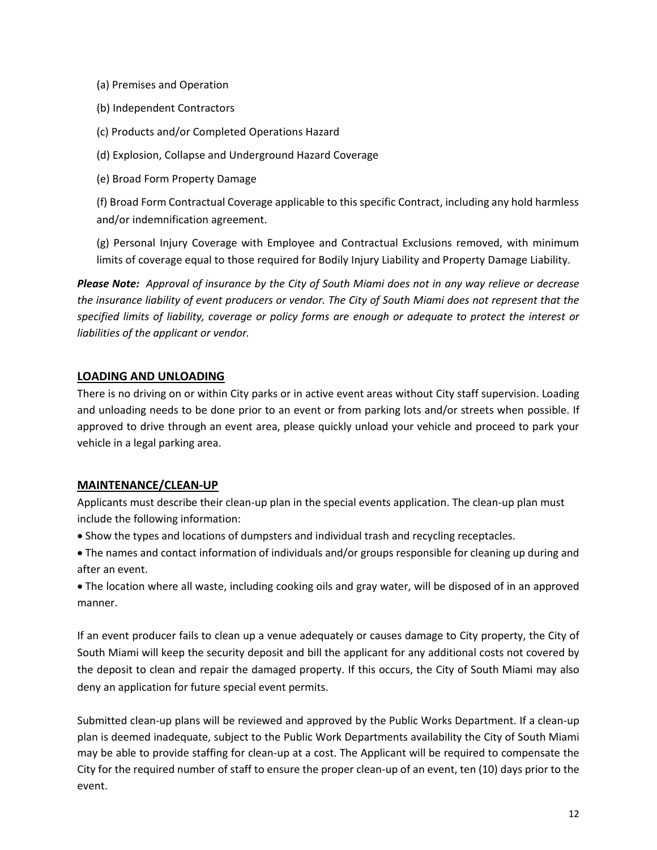- (a) Premises and Operation
- (b) Independent Contractors
- (c) Products and/or Completed Operations Hazard
- (d) Explosion, Collapse and Underground Hazard Coverage
- (e) Broad Form Property Damage

(f) Broad Form Contractual Coverage applicable to this specific Contract, including any hold harmless and/or indemnification agreement.

(g) Personal Injury Coverage with Employee and Contractual Exclusions removed, with minimum limits of coverage equal to those required for Bodily Injury Liability and Property Damage Liability.

*Please Note: Approval of insurance by the City of South Miami does not in any way relieve or decrease the insurance liability of event producers or vendor. The City of South Miami does not represent that the specified limits of liability, coverage or policy forms are enough or adequate to protect the interest or liabilities of the applicant or vendor.*

#### **LOADING AND UNLOADING**

There is no driving on or within City parks or in active event areas without City staff supervision. Loading and unloading needs to be done prior to an event or from parking lots and/or streets when possible. If approved to drive through an event area, please quickly unload your vehicle and proceed to park your vehicle in a legal parking area.

#### **MAINTENANCE/CLEAN-UP**

Applicants must describe their clean-up plan in the special events application. The clean-up plan must include the following information:

- Show the types and locations of dumpsters and individual trash and recycling receptacles.
- The names and contact information of individuals and/or groups responsible for cleaning up during and after an event.

• The location where all waste, including cooking oils and gray water, will be disposed of in an approved manner.

If an event producer fails to clean up a venue adequately or causes damage to City property, the City of South Miami will keep the security deposit and bill the applicant for any additional costs not covered by the deposit to clean and repair the damaged property. If this occurs, the City of South Miami may also deny an application for future special event permits.

Submitted clean-up plans will be reviewed and approved by the Public Works Department. If a clean-up plan is deemed inadequate, subject to the Public Work Departments availability the City of South Miami may be able to provide staffing for clean-up at a cost. The Applicant will be required to compensate the City for the required number of staff to ensure the proper clean-up of an event, ten (10) days prior to the event.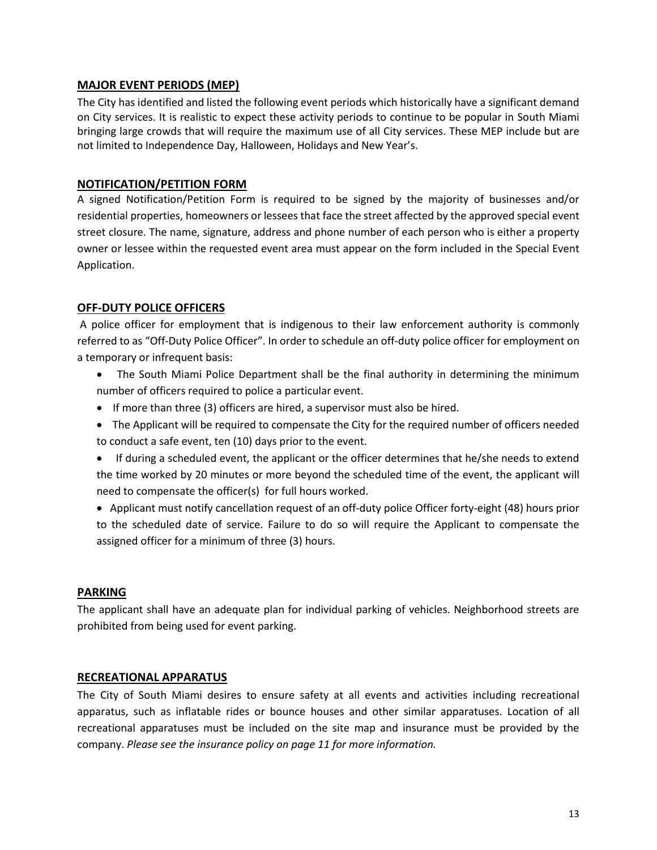#### **MAJOR EVENT PERIODS (MEP)**

The City has identified and listed the following event periods which historically have a significant demand on City services. It is realistic to expect these activity periods to continue to be popular in South Miami bringing large crowds that will require the maximum use of all City services. These MEP include but are not limited to Independence Day, Halloween, Holidays and New Year's.

#### **NOTIFICATION/PETITION FORM**

A signed Notification/Petition Form is required to be signed by the majority of businesses and/or residential properties, homeowners or lessees that face the street affected by the approved special event street closure. The name, signature, address and phone number of each person who is either a property owner or lessee within the requested event area must appear on the form included in the Special Event Application.

#### **OFF-DUTY POLICE OFFICERS**

A police officer for employment that is indigenous to their law enforcement authority is commonly referred to as "Off-Duty Police Officer". In order to schedule an off-duty police officer for employment on a temporary or infrequent basis:

- The South Miami Police Department shall be the final authority in determining the minimum number of officers required to police a particular event.
- If more than three (3) officers are hired, a supervisor must also be hired.
- The Applicant will be required to compensate the City for the required number of officers needed to conduct a safe event, ten (10) days prior to the event.
- If during a scheduled event, the applicant or the officer determines that he/she needs to extend the time worked by 20 minutes or more beyond the scheduled time of the event, the applicant will need to compensate the officer(s) for full hours worked.
- Applicant must notify cancellation request of an off-duty police Officer forty-eight (48) hours prior to the scheduled date of service. Failure to do so will require the Applicant to compensate the assigned officer for a minimum of three (3) hours.

#### **PARKING**

The applicant shall have an adequate plan for individual parking of vehicles. Neighborhood streets are prohibited from being used for event parking.

#### **RECREATIONAL APPARATUS**

The City of South Miami desires to ensure safety at all events and activities including recreational apparatus, such as inflatable rides or bounce houses and other similar apparatuses. Location of all recreational apparatuses must be included on the site map and insurance must be provided by the company. *Please see the insurance policy on page 11 for more information.*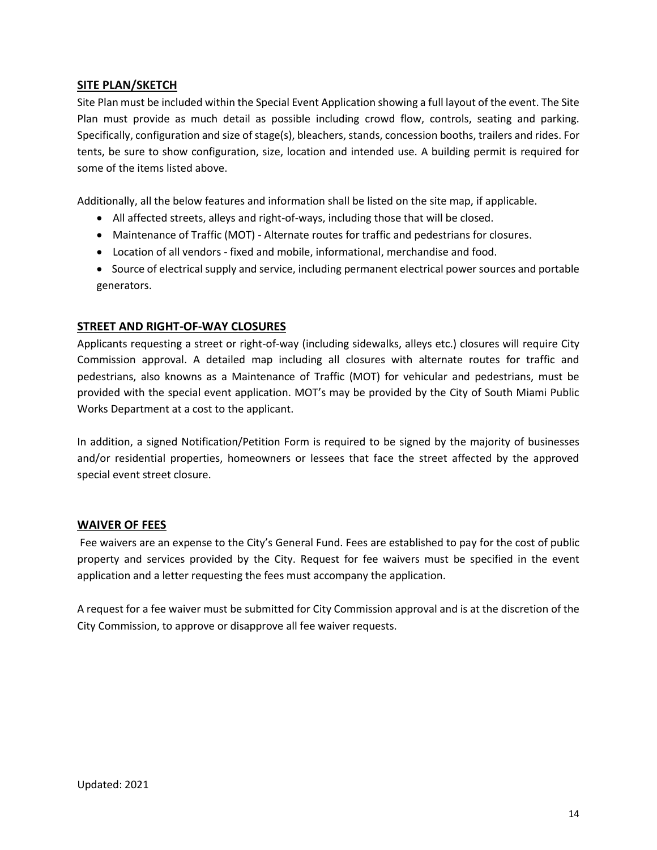#### **SITE PLAN/SKETCH**

Site Plan must be included within the Special Event Application showing a full layout of the event. The Site Plan must provide as much detail as possible including crowd flow, controls, seating and parking. Specifically, configuration and size of stage(s), bleachers, stands, concession booths, trailers and rides. For tents, be sure to show configuration, size, location and intended use. A building permit is required for some of the items listed above.

Additionally, all the below features and information shall be listed on the site map, if applicable.

- All affected streets, alleys and right-of-ways, including those that will be closed.
- Maintenance of Traffic (MOT) Alternate routes for traffic and pedestrians for closures.
- Location of all vendors fixed and mobile, informational, merchandise and food.
- Source of electrical supply and service, including permanent electrical power sources and portable generators.

#### **STREET AND RIGHT-OF-WAY CLOSURES**

Applicants requesting a street or right-of-way (including sidewalks, alleys etc.) closures will require City Commission approval. A detailed map including all closures with alternate routes for traffic and pedestrians, also knowns as a Maintenance of Traffic (MOT) for vehicular and pedestrians, must be provided with the special event application. MOT's may be provided by the City of South Miami Public Works Department at a cost to the applicant.

In addition, a signed Notification/Petition Form is required to be signed by the majority of businesses and/or residential properties, homeowners or lessees that face the street affected by the approved special event street closure.

#### **WAIVER OF FEES**

Fee waivers are an expense to the City's General Fund. Fees are established to pay for the cost of public property and services provided by the City. Request for fee waivers must be specified in the event application and a letter requesting the fees must accompany the application.

A request for a fee waiver must be submitted for City Commission approval and is at the discretion of the City Commission, to approve or disapprove all fee waiver requests.